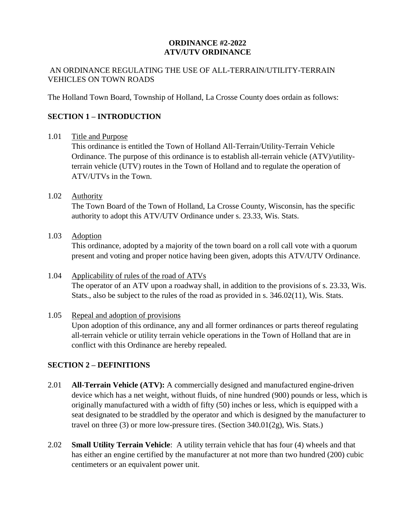#### **ORDINANCE #2-2022 ATV/UTV ORDINANCE**

#### AN ORDINANCE REGULATING THE USE OF ALL-TERRAIN/UTILITY-TERRAIN VEHICLES ON TOWN ROADS

The Holland Town Board, Township of Holland, La Crosse County does ordain as follows:

# **SECTION 1 – INTRODUCTION**

#### 1.01 Title and Purpose

This ordinance is entitled the Town of Holland All-Terrain/Utility-Terrain Vehicle Ordinance. The purpose of this ordinance is to establish all-terrain vehicle (ATV)/utilityterrain vehicle (UTV) routes in the Town of Holland and to regulate the operation of ATV/UTVs in the Town.

#### 1.02 Authority

The Town Board of the Town of Holland, La Crosse County, Wisconsin, has the specific authority to adopt this ATV/UTV Ordinance under s. 23.33, Wis. Stats.

1.03 Adoption

This ordinance, adopted by a majority of the town board on a roll call vote with a quorum present and voting and proper notice having been given, adopts this ATV/UTV Ordinance.

# 1.04 Applicability of rules of the road of ATVs The operator of an ATV upon a roadway shall, in addition to the provisions of s. 23.33, Wis. Stats., also be subject to the rules of the road as provided in s. 346.02(11), Wis. Stats.

## 1.05 Repeal and adoption of provisions Upon adoption of this ordinance, any and all former ordinances or parts thereof regulating all-terrain vehicle or utility terrain vehicle operations in the Town of Holland that are in conflict with this Ordinance are hereby repealed.

# **SECTION 2 – DEFINITIONS**

- 2.01 **All-Terrain Vehicle (ATV):** A commercially designed and manufactured engine-driven device which has a net weight, without fluids, of nine hundred (900) pounds or less, which is originally manufactured with a width of fifty (50) inches or less, which is equipped with a seat designated to be straddled by the operator and which is designed by the manufacturer to travel on three (3) or more low-pressure tires. (Section 340.01(2g), Wis. Stats.)
- 2.02 **Small Utility Terrain Vehicle**: A utility terrain vehicle that has four (4) wheels and that has either an engine certified by the manufacturer at not more than two hundred (200) cubic centimeters or an equivalent power unit.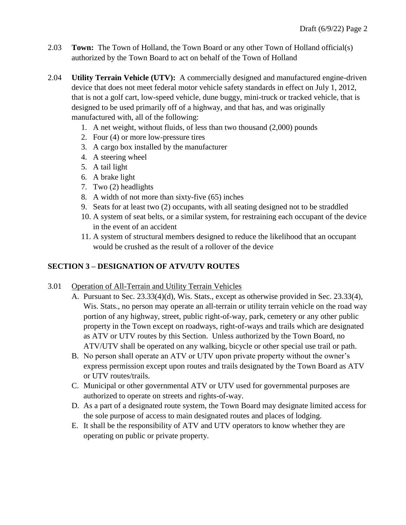- 2.03 **Town:** The Town of Holland, the Town Board or any other Town of Holland official(s) authorized by the Town Board to act on behalf of the Town of Holland
- 2.04 **Utility Terrain Vehicle (UTV):** A commercially designed and manufactured engine-driven device that does not meet federal motor vehicle safety standards in effect on July 1, 2012, that is not a golf cart, low-speed vehicle, dune buggy, mini-truck or tracked vehicle, that is designed to be used primarily off of a highway, and that has, and was originally manufactured with, all of the following:
	- 1. A net weight, without fluids, of less than two thousand (2,000) pounds
	- 2. Four (4) or more low-pressure tires
	- 3. A cargo box installed by the manufacturer
	- 4. A steering wheel
	- 5. A tail light
	- 6. A brake light
	- 7. Two (2) headlights
	- 8. A width of not more than sixty-five (65) inches
	- 9. Seats for at least two (2) occupants, with all seating designed not to be straddled
	- 10. A system of seat belts, or a similar system, for restraining each occupant of the device in the event of an accident
	- 11. A system of structural members designed to reduce the likelihood that an occupant would be crushed as the result of a rollover of the device

# **SECTION 3 – DESIGNATION OF ATV/UTV ROUTES**

## 3.01 Operation of All-Terrain and Utility Terrain Vehicles

- A. Pursuant to Sec. 23.33(4)(d), Wis. Stats., except as otherwise provided in Sec. 23.33(4), Wis. Stats., no person may operate an all-terrain or utility terrain vehicle on the road way portion of any highway, street, public right-of-way, park, cemetery or any other public property in the Town except on roadways, right-of-ways and trails which are designated as ATV or UTV routes by this Section. Unless authorized by the Town Board, no ATV/UTV shall be operated on any walking, bicycle or other special use trail or path.
- B. No person shall operate an ATV or UTV upon private property without the owner's express permission except upon routes and trails designated by the Town Board as ATV or UTV routes/trails.
- C. Municipal or other governmental ATV or UTV used for governmental purposes are authorized to operate on streets and rights-of-way.
- D. As a part of a designated route system, the Town Board may designate limited access for the sole purpose of access to main designated routes and places of lodging.
- E. It shall be the responsibility of ATV and UTV operators to know whether they are operating on public or private property.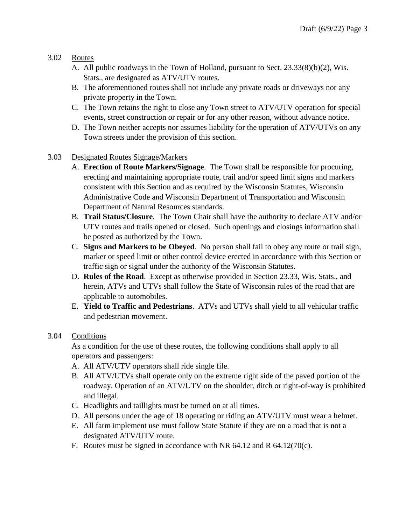## 3.02 Routes

- A. All public roadways in the Town of Holland, pursuant to Sect. 23.33(8)(b)(2), Wis. Stats., are designated as ATV/UTV routes.
- B. The aforementioned routes shall not include any private roads or driveways nor any private property in the Town.
- C. The Town retains the right to close any Town street to ATV/UTV operation for special events, street construction or repair or for any other reason, without advance notice.
- D. The Town neither accepts nor assumes liability for the operation of ATV/UTVs on any Town streets under the provision of this section.

## 3.03 Designated Routes Signage/Markers

- A. **Erection of Route Markers/Signage**. The Town shall be responsible for procuring, erecting and maintaining appropriate route, trail and/or speed limit signs and markers consistent with this Section and as required by the Wisconsin Statutes, Wisconsin Administrative Code and Wisconsin Department of Transportation and Wisconsin Department of Natural Resources standards.
- B. **Trail Status/Closure**. The Town Chair shall have the authority to declare ATV and/or UTV routes and trails opened or closed. Such openings and closings information shall be posted as authorized by the Town.
- C. **Signs and Markers to be Obeyed**. No person shall fail to obey any route or trail sign, marker or speed limit or other control device erected in accordance with this Section or traffic sign or signal under the authority of the Wisconsin Statutes.
- D. **Rules of the Road**. Except as otherwise provided in Section 23.33, Wis. Stats., and herein, ATVs and UTVs shall follow the State of Wisconsin rules of the road that are applicable to automobiles.
- E. **Yield to Traffic and Pedestrians**. ATVs and UTVs shall yield to all vehicular traffic and pedestrian movement.

## 3.04 Conditions

As a condition for the use of these routes, the following conditions shall apply to all operators and passengers:

- A. All ATV/UTV operators shall ride single file.
- B. All ATV/UTVs shall operate only on the extreme right side of the paved portion of the roadway. Operation of an ATV/UTV on the shoulder, ditch or right-of-way is prohibited and illegal.
- C. Headlights and taillights must be turned on at all times.
- D. All persons under the age of 18 operating or riding an ATV/UTV must wear a helmet.
- E. All farm implement use must follow State Statute if they are on a road that is not a designated ATV/UTV route.
- F. Routes must be signed in accordance with NR 64.12 and R 64.12(70(c).